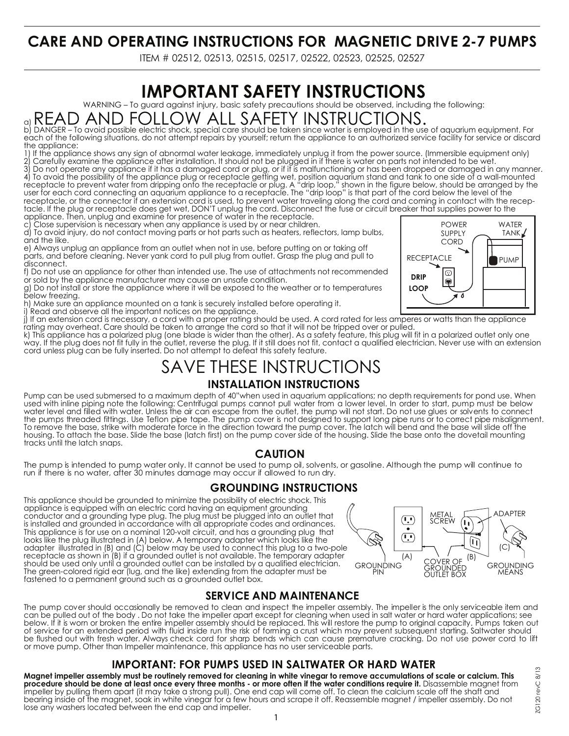## **CARE AND OPERATING INSTRUCTIONS FOR MAGNETIC DRIVE 2-7 PUMPS**

ITEM # 02512, 02513, 02515, 02517, 02522, 02523, 02525, 02527

# **IMPORTANT SAFETY INSTRUCTIONS**

WARNING – To guard against injury, basic safety precautions should be observed, including the following:

# a)  $\mathsf{READ}$   $\mathsf{AND}\ \mathsf{FOLLOW}\ \mathsf{ALL}\ \mathsf{SA}\mathsf{F}\mathsf{E}\mathsf{I}\mathsf{Y}\ \mathsf{INSTRU}\ \mathsf{C}\mathsf{I} \mathsf{I}\ \mathsf{ON}\ \mathsf{S}\mathsf{.}$  b) DANGER – To avoid possible electric shock, special care should be taken since water is employed in the use of aquar

each of the following situations, do not attempt repairs by yourself; return the appliance to an authorized service facility for service or discard the appliance:

1) If the appliance shows any sign of abnormal water leakage, immediately unplug it from the power source. (Immersible equipment only) 2) Carefully examine the appliance after installation. It should not be plugged in if there is water on parts not intended to be wet.

3) Do not operate any appliance if it has a damaged cord or plug, or if it is malfunctioning or has been dropped or damaged in any manner. 4) To avoid the possibility of the appliance plug or receptacle getting wet, position aquarium stand and tank to one side of a wall-mounted receptacle to prevent water from dripping onto the receptacle or plug. A "drip loop," shown in the figure below, should be arranged by the user for each cord connecting an aquarium appliance to a receptacle. The "drip loop" is that part of the cord below the level of the receptacle, or the connector if an extension cord is used, to prevent water traveling along the cord and coming in contact with the receptacle. If the plug or receptacle does get wet, DON'T unplug the cord. Disconnect the fuse or circuit breaker that supplies power to the

appliance. Then, unplug and examine for presence of water in the receptacle.<br>C. Close supervision is necessary when any appliance is used by or near children Close supervision is necessary when any appliance is used by or near children.

d) To avoid injury, do not contact moving parts or hot parts such as heaters, reflectors, lamp bulbs, and the like.

e) Always unplug an appliance from an outlet when not in use, before putting on or taking off parts, and before cleaning. Never yank cord to pull plug from outlet. Grasp the plug and pull to disconnect.

f) Do not use an appliance for other than intended use. The use of attachments not recommended or sold by the appliance manufacturer may cause an unsafe condition.

g) Do not install or store the appliance where it will be exposed to the weather or to temperatures below freezing.

h) Make sure an appliance mounted on a tank is securely installed before operating it.

i) Read and observe all the important notices on the appliance.

j) If an extension cord is necessary, a cord with a proper rating should be used. A cord rated for less amperes or watts than the appliance rating may overheat. Care should be taken to arrange the cord so that it will not be tripped over or pulled.

k) This appliance has a polarized plug (one blade is wider than the other). As a safety feature, this plug will fit in a polarized outlet only one way. If the plug does not fit fully in the outlet, reverse the plug. If it still does not fit, contact a qualified electrician. Never use with an extension cord unless plug can be fully inserted. Do not attempt to defeat this safety feature.

### SAVE THESE INSTRUCTIONS **INSTALLATION INSTRUCTIONS**

Pump can be used submersed to a maximum depth of 40" when used in aquarium applications; no depth requirements for pond use. When used with inline piping note the following: Centrifugal pumps cannot pull water from a lower level. In order to start, pump must be below water level and filled with water. Unless the air can escape from the outlet, the pump will not start. Do not use glues or solvents to connect the pumps threaded fittings. Use Teflon pipe tape. The pump cover is not designed to support long pipe runs or to correct pipe misalignment. To remove the base, strike with moderate force in the direction toward the pump cover. The latch will bend and the base will slide off the housing. To attach the base. Slide the base (latch first) on the pump cover side of the housing. Slide the base onto the dovetail mounting tracks until the latch snaps.

#### **CAUTION**

The pump is intended to pump water only. It cannot be used to pump oil, solvents, or gasoline. Although the pump will continue to run if there is no water, after 30 minutes damage may occur if allowed to run dry.

#### **GROUNDING INSTRUCTIONS**

This appliance should be grounded to minimize the possibility of electric shock. This appliance is equipped with an electric cord having an equipment grounding conductor and a grounding type plug. The plug must be plugged into an outlet that is installed and grounded in accordance with all appropriate codes and ordinances. This appliance is for use on a nominal 120-volt circuit, and has a grounding plug that looks like the plug illustrated in (A) below. A temporary adapter which looks like the adapter illustrated in (B) and (C) below may be used to connect this plug to a two-pole receptacle as shown in (B) if a grounded outlet is not available. The temporary adapter should be used only until a grounded outlet can be installed by a qualified electrician. The green-colored rigid ear (lug, and the like) extending from the adapter must be fastened to a permanent ground such as a grounded outlet box.



#### **SERVICE AND MAINTENANCE**

The pump cover should occasionally be removed to clean and inspect the impeller assembly. The impeller is the only serviceable item and can be pulled out of the body . Do not take the impeller apart except for cleaning when used in salt water or hard water applications; see below. If it is worn or broken the entire impeller assembly should be replaced. This will restore the pump to original capacity. Pumps taken out of service for an extended period with fluid inside run the risk of forming a crust which may prevent subsequent starting. Saltwater should be flushed out with fresh water. Always check cord for sharp bends which can cause premature cracking. Do not use power cord to lift or move pump. Other than Impeller maintenance, this appliance has no user serviceable parts.

#### **IMPORTANT: FOR PUMPS USED IN SALTWATER OR HARD WATER**

**Magnet impeller assembly must be routinely removed for cleaning in white vinegar to remove accumulations of scale or calcium. This procedure should be done at least once every three months - or more often if the water conditions require it.** Disassemble magnet from impeller by pulling them apart (it may take a strong pull). One end cap will come off. To clean the calcium scale off the shaft and bearing inside of the magnet, soak in white vinegar for a few hours and scrape it off. Reassemble magnet / impeller assembly. Do not lose any washers located between the end cap and impeller.